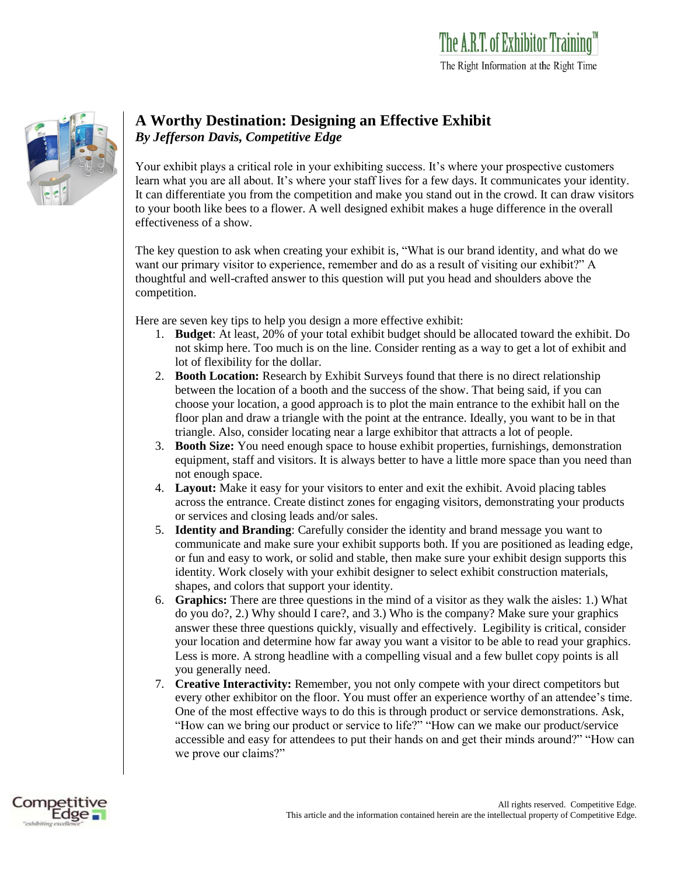

## **A Worthy Destination: Designing an Effective Exhibit** *By Jefferson Davis, Competitive Edge*

Your exhibit plays a critical role in your exhibiting success. It's where your prospective customers learn what you are all about. It's where your staff lives for a few days. It communicates your identity. It can differentiate you from the competition and make you stand out in the crowd. It can draw visitors to your booth like bees to a flower. A well designed exhibit makes a huge difference in the overall effectiveness of a show.

The key question to ask when creating your exhibit is, "What is our brand identity, and what do we want our primary visitor to experience, remember and do as a result of visiting our exhibit?" A thoughtful and well-crafted answer to this question will put you head and shoulders above the competition.

Here are seven key tips to help you design a more effective exhibit:

- 1. **Budget**: At least, 20% of your total exhibit budget should be allocated toward the exhibit. Do not skimp here. Too much is on the line. Consider renting as a way to get a lot of exhibit and lot of flexibility for the dollar.
- 2. **Booth Location:** Research by Exhibit Surveys found that there is no direct relationship between the location of a booth and the success of the show. That being said, if you can choose your location, a good approach is to plot the main entrance to the exhibit hall on the floor plan and draw a triangle with the point at the entrance. Ideally, you want to be in that triangle. Also, consider locating near a large exhibitor that attracts a lot of people.
- 3. **Booth Size:** You need enough space to house exhibit properties, furnishings, demonstration equipment, staff and visitors. It is always better to have a little more space than you need than not enough space.
- 4. **Layout:** Make it easy for your visitors to enter and exit the exhibit. Avoid placing tables across the entrance. Create distinct zones for engaging visitors, demonstrating your products or services and closing leads and/or sales.
- 5. **Identity and Branding**: Carefully consider the identity and brand message you want to communicate and make sure your exhibit supports both. If you are positioned as leading edge, or fun and easy to work, or solid and stable, then make sure your exhibit design supports this identity. Work closely with your exhibit designer to select exhibit construction materials, shapes, and colors that support your identity.
- 6. **Graphics:** There are three questions in the mind of a visitor as they walk the aisles: 1.) What do you do?, 2.) Why should I care?, and 3.) Who is the company? Make sure your graphics answer these three questions quickly, visually and effectively. Legibility is critical, consider your location and determine how far away you want a visitor to be able to read your graphics. Less is more. A strong headline with a compelling visual and a few bullet copy points is all you generally need.
- 7. **Creative Interactivity:** Remember, you not only compete with your direct competitors but every other exhibitor on the floor. You must offer an experience worthy of an attendee's time. One of the most effective ways to do this is through product or service demonstrations. Ask, "How can we bring our product or service to life?" "How can we make our product/service accessible and easy for attendees to put their hands on and get their minds around?" "How can we prove our claims?"